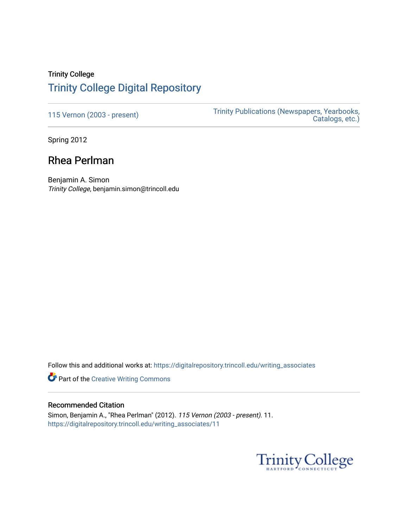## Trinity College [Trinity College Digital Repository](https://digitalrepository.trincoll.edu/)

[115 Vernon \(2003 - present\)](https://digitalrepository.trincoll.edu/writing_associates) Trinity Publications (Newspapers, Yearbooks, [Catalogs, etc.\)](https://digitalrepository.trincoll.edu/publications) 

Spring 2012

# Rhea Perlman

Benjamin A. Simon Trinity College, benjamin.simon@trincoll.edu

Follow this and additional works at: [https://digitalrepository.trincoll.edu/writing\\_associates](https://digitalrepository.trincoll.edu/writing_associates?utm_source=digitalrepository.trincoll.edu%2Fwriting_associates%2F11&utm_medium=PDF&utm_campaign=PDFCoverPages) 

**Part of the Creative Writing Commons** 

## Recommended Citation

Simon, Benjamin A., "Rhea Perlman" (2012). 115 Vernon (2003 - present). 11. [https://digitalrepository.trincoll.edu/writing\\_associates/11](https://digitalrepository.trincoll.edu/writing_associates/11?utm_source=digitalrepository.trincoll.edu%2Fwriting_associates%2F11&utm_medium=PDF&utm_campaign=PDFCoverPages) 

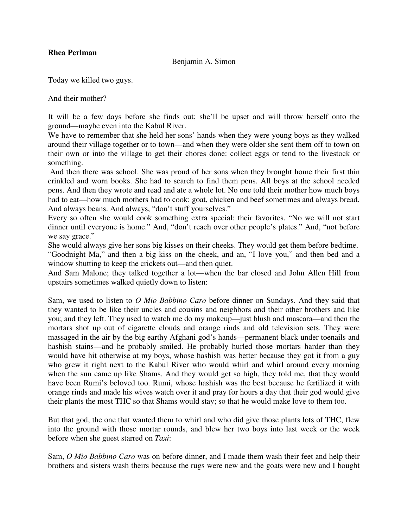### **Rhea Perlman**

### Benjamin A. Simon

Today we killed two guys.

And their mother?

It will be a few days before she finds out; she'll be upset and will throw herself onto the ground—maybe even into the Kabul River.

We have to remember that she held her sons' hands when they were young boys as they walked around their village together or to town—and when they were older she sent them off to town on their own or into the village to get their chores done: collect eggs or tend to the livestock or something.

 And then there was school. She was proud of her sons when they brought home their first thin crinkled and worn books. She had to search to find them pens. All boys at the school needed pens. And then they wrote and read and ate a whole lot. No one told their mother how much boys had to eat—how much mothers had to cook: goat, chicken and beef sometimes and always bread. And always beans. And always, "don't stuff yourselves."

Every so often she would cook something extra special: their favorites. "No we will not start dinner until everyone is home." And, "don't reach over other people's plates." And, "not before we say grace."

She would always give her sons big kisses on their cheeks. They would get them before bedtime. "Goodnight Ma," and then a big kiss on the cheek, and an, "I love you," and then bed and a window shutting to keep the crickets out—and then quiet.

And Sam Malone; they talked together a lot—when the bar closed and John Allen Hill from upstairs sometimes walked quietly down to listen:

Sam, we used to listen to *O Mio Babbino Caro* before dinner on Sundays. And they said that they wanted to be like their uncles and cousins and neighbors and their other brothers and like you; and they left. They used to watch me do my makeup—just blush and mascara—and then the mortars shot up out of cigarette clouds and orange rinds and old television sets. They were massaged in the air by the big earthy Afghani god's hands—permanent black under toenails and hashish stains—and he probably smiled. He probably hurled those mortars harder than they would have hit otherwise at my boys, whose hashish was better because they got it from a guy who grew it right next to the Kabul River who would whirl and whirl around every morning when the sun came up like Shams. And they would get so high, they told me, that they would have been Rumi's beloved too. Rumi, whose hashish was the best because he fertilized it with orange rinds and made his wives watch over it and pray for hours a day that their god would give their plants the most THC so that Shams would stay; so that he would make love to them too.

But that god, the one that wanted them to whirl and who did give those plants lots of THC, flew into the ground with those mortar rounds, and blew her two boys into last week or the week before when she guest starred on *Taxi*:

Sam, *O Mio Babbino Caro* was on before dinner, and I made them wash their feet and help their brothers and sisters wash theirs because the rugs were new and the goats were new and I bought